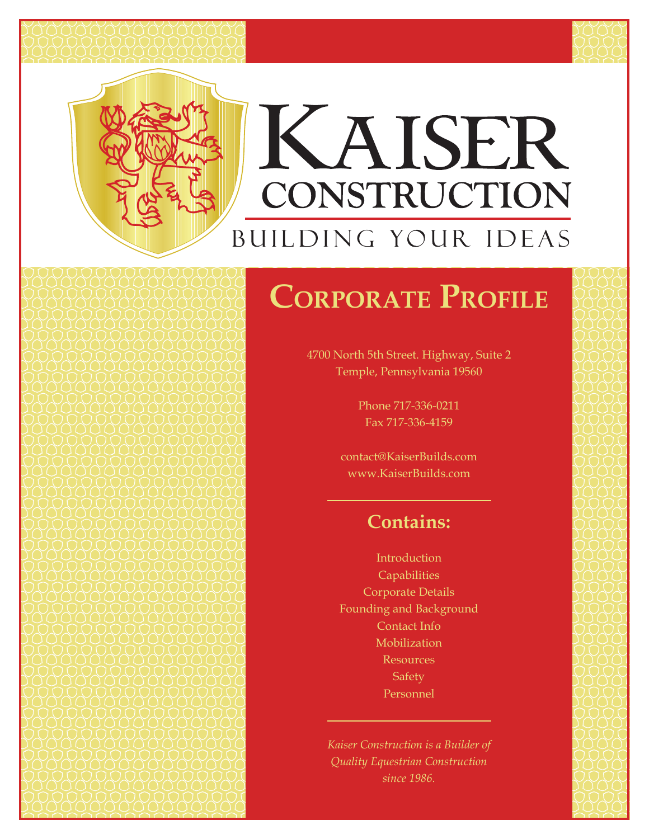



# KAISER CONSTRUCTION BUILDING YOUR IDEAS

# **Corporate Profile**

4700 North 5th Street. Highway, Suite 2 Temple, Pennsylvania 19560

> Phone 717-336-0211 Fax 717-336-4159

contact@KaiserBuilds.com www.KaiserBuilds.com

## **Contains:**

Introduction **Capabilities** Corporate Details Founding and Background Contact Info Mobilization Resources **Safety** Personnel

*Kaiser Construction is a Builder of Quality Equestrian Construction since 1986.*

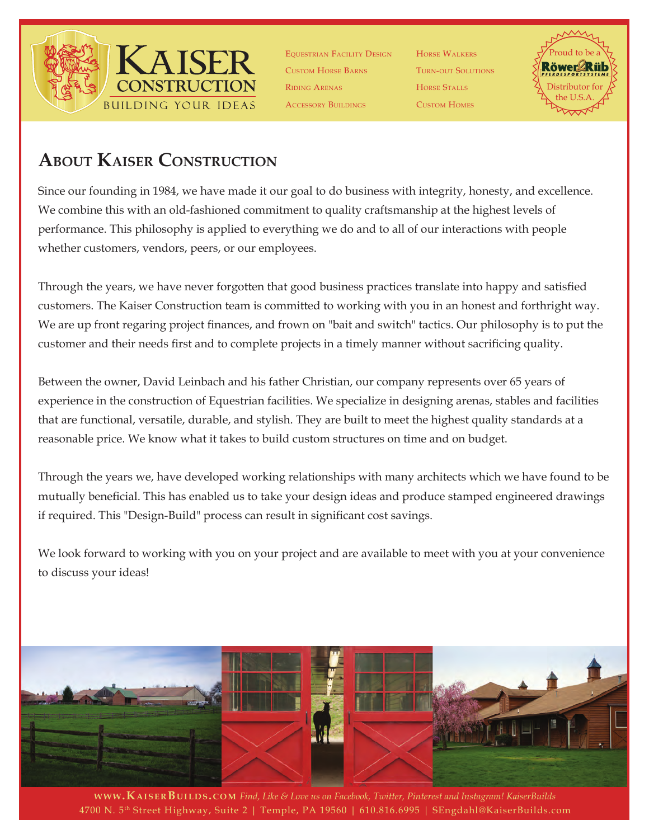

Equestrian Facility Design Custom Horse Barns Riding Arenas Accessory Buildings

Horse Walkers Turn-out Solutions Horse Stalls Custom Homes



### **About Kaiser Construction**

Since our founding in 1984, we have made it our goal to do business with integrity, honesty, and excellence. We combine this with an old-fashioned commitment to quality craftsmanship at the highest levels of performance. This philosophy is applied to everything we do and to all of our interactions with people whether customers, vendors, peers, or our employees.

Through the years, we have never forgotten that good business practices translate into happy and satisfied customers. The Kaiser Construction team is committed to working with you in an honest and forthright way. We are up front regaring project finances, and frown on "bait and switch" tactics. Our philosophy is to put the customer and their needs first and to complete projects in a timely manner without sacrificing quality.

Between the owner, David Leinbach and his father Christian, our company represents over 65 years of experience in the construction of Equestrian facilities. We specialize in designing arenas, stables and facilities that are functional, versatile, durable, and stylish. They are built to meet the highest quality standards at a reasonable price. We know what it takes to build custom structures on time and on budget.

Through the years we, have developed working relationships with many architects which we have found to be mutually beneficial. This has enabled us to take your design ideas and produce stamped engineered drawings if required. This "Design-Build" process can result in significant cost savings.

We look forward to working with you on your project and are available to meet with you at your convenience to discuss your ideas!



4700 N. 5th Street Highway, Suite 2 | Temple, PA 19560 | 610.816.6995 | SEngdahl@KaiserBuilds.com **www.KA1SERBUILDS.COM** *Find, Like & Love us on Facebook, Twitter, Pinterest and Instagram! KaiserBuilds*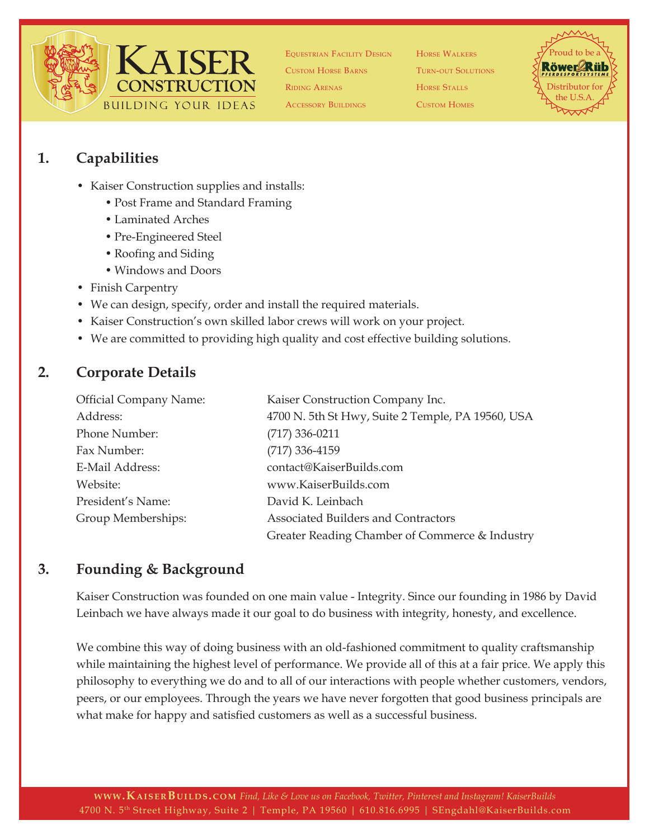

Equestrian Facility Design Custom Horse Barns Riding Arenas

Accessory Buildings

Horse Walkers Turn-out Solutions Horse Stalls Custom Homes



#### **1. Capabilities**

- Kaiser Construction supplies and installs:
	- Post Frame and Standard Framing
	- Laminated Arches
	- Pre-Engineered Steel
	- Roofing and Siding
	- Windows and Doors
- Finish Carpentry
- We can design, specify, order and install the required materials.
- Kaiser Construction's own skilled labor crews will work on your project.
- We are committed to providing high quality and cost effective building solutions.

#### **2. Corporate Details**

| <b>Official Company Name:</b> | Kaiser Construction Company Inc.                  |  |
|-------------------------------|---------------------------------------------------|--|
| Address:                      | 4700 N. 5th St Hwy, Suite 2 Temple, PA 19560, USA |  |
| Phone Number:                 | $(717)$ 336-0211                                  |  |
| Fax Number:                   | $(717)$ 336-4159                                  |  |
| E-Mail Address:               | contact@KaiserBuilds.com                          |  |
| Website:                      | www.KaiserBuilds.com                              |  |
| President's Name:             | David K. Leinbach                                 |  |
| Group Memberships:            | Associated Builders and Contractors               |  |
|                               | Greater Reading Chamber of Commerce & Industry    |  |

#### **3. Founding & Background**

Kaiser Construction was founded on one main value - Integrity. Since our founding in 1986 by David Leinbach we have always made it our goal to do business with integrity, honesty, and excellence.

We combine this way of doing business with an old-fashioned commitment to quality craftsmanship while maintaining the highest level of performance. We provide all of this at a fair price. We apply this philosophy to everything we do and to all of our interactions with people whether customers, vendors, peers, or our employees. Through the years we have never forgotten that good business principals are what make for happy and satisfied customers as well as a successful business.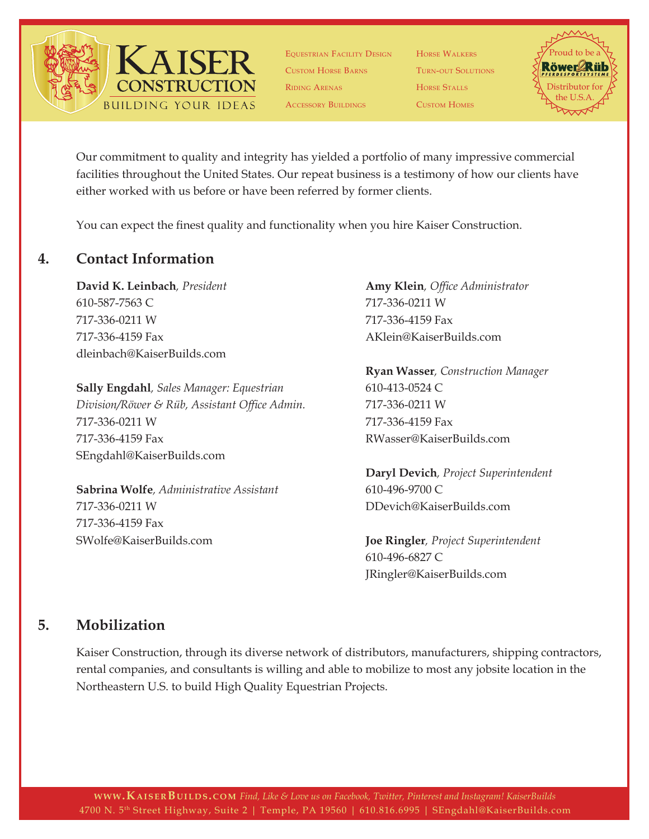

Equestrian Facility Design Custom Horse Barns Riding Arenas ACCESSORY BUILDINGS

Horse Walkers Turn-out Solutions Horse Stalls Custom Homes



Our commitment to quality and integrity has yielded a portfolio of many impressive commercial facilities throughout the United States. Our repeat business is a testimony of how our clients have either worked with us before or have been referred by former clients.

You can expect the finest quality and functionality when you hire Kaiser Construction.

#### **4. Contact Information**

**David K. Leinbach***, President*  610-587-7563 C 717-336-0211 W 717-336-4159 Fax dleinbach@KaiserBuilds.com

**Sally Engdahl***, Sales Manager: Equestrian Division/Röwer & Rüb, Assistant Office Admin.* 717-336-0211 W 717-336-4159 Fax SEngdahl@KaiserBuilds.com

**Sabrina Wolfe***, Administrative Assistant* 717-336-0211 W 717-336-4159 Fax SWolfe@KaiserBuilds.com

**Amy Klein***, Office Administrator*  717-336-0211 W 717-336-4159 Fax AKlein@KaiserBuilds.com

**Ryan Wasser***, Construction Manager* 610-413-0524 C 717-336-0211 W 717-336-4159 Fax RWasser@KaiserBuilds.com

**Daryl Devich***, Project Superintendent* 610-496-9700 C DDevich@KaiserBuilds.com

**Joe Ringler***, Project Superintendent* 610-496-6827 C JRingler@KaiserBuilds.com

#### **5. Mobilization**

Kaiser Construction, through its diverse network of distributors, manufacturers, shipping contractors, rental companies, and consultants is willing and able to mobilize to most any jobsite location in the Northeastern U.S. to build High Quality Equestrian Projects.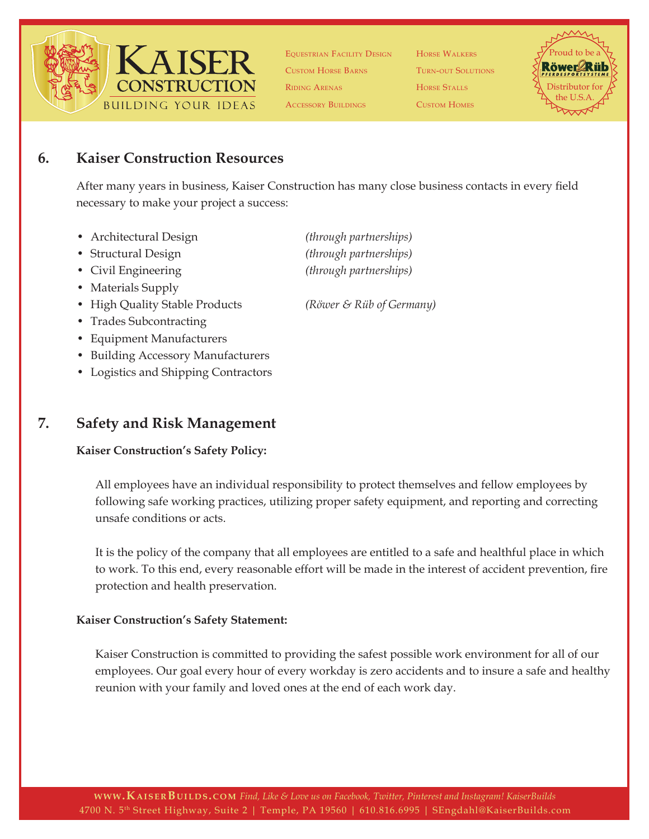

Equestrian Facility Design Custom Horse Barns Riding Arenas Accessory Buildings

Horse Walkers Turn-out Solutions Horse Stalls Custom Homes



#### **6. Kaiser Construction Resources**

After many years in business, Kaiser Construction has many close business contacts in every field necessary to make your project a success:

- Architectural Design *(through partnerships)*
- Structural Design *(through partnerships)*
- Civil Engineering *(through partnerships)*
- Materials Supply
- High Quality Stable Products *(Röwer & Rüb of Germany)*
- Trades Subcontracting
- Equipment Manufacturers
- Building Accessory Manufacturers
- Logistics and Shipping Contractors

#### **7. Safety and Risk Management**

#### **Kaiser Construction's Safety Policy:**

All employees have an individual responsibility to protect themselves and fellow employees by following safe working practices, utilizing proper safety equipment, and reporting and correcting unsafe conditions or acts.

It is the policy of the company that all employees are entitled to a safe and healthful place in which to work. To this end, every reasonable effort will be made in the interest of accident prevention, fire protection and health preservation.

#### **Kaiser Construction's Safety Statement:**

Kaiser Construction is committed to providing the safest possible work environment for all of our employees. Our goal every hour of every workday is zero accidents and to insure a safe and healthy reunion with your family and loved ones at the end of each work day.